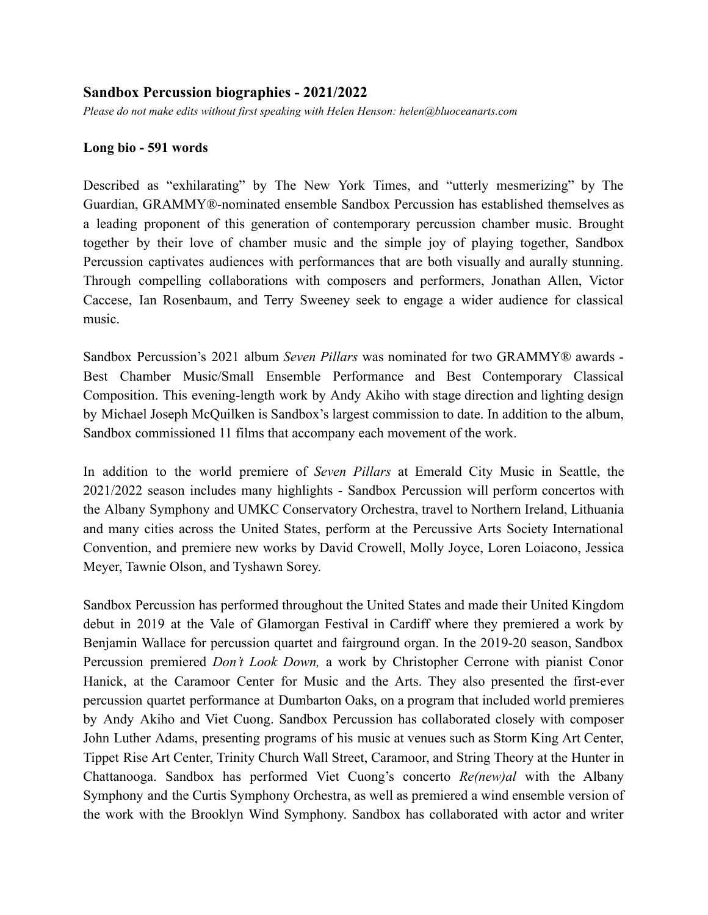## **Sandbox Percussion biographies - 2021/2022**

*Please do not make edits without first speaking with Helen Henson: helen@bluoceanarts.com*

## **Long bio - 591 words**

Described as "exhilarating" by The New York Times, and "utterly mesmerizing" by The Guardian, GRAMMY®-nominated ensemble Sandbox Percussion has established themselves as a leading proponent of this generation of contemporary percussion chamber music. Brought together by their love of chamber music and the simple joy of playing together, Sandbox Percussion captivates audiences with performances that are both visually and aurally stunning. Through compelling collaborations with composers and performers, Jonathan Allen, Victor Caccese, Ian Rosenbaum, and Terry Sweeney seek to engage a wider audience for classical music.

Sandbox Percussion's 2021 album *Seven Pillars* was nominated for two GRAMMY® awards - Best Chamber Music/Small Ensemble Performance and Best Contemporary Classical Composition. This evening-length work by Andy Akiho with stage direction and lighting design by Michael Joseph McQuilken is Sandbox's largest commission to date. In addition to the album, Sandbox commissioned 11 films that accompany each movement of the work.

In addition to the world premiere of *Seven Pillars* at Emerald City Music in Seattle, the 2021/2022 season includes many highlights - Sandbox Percussion will perform concertos with the Albany Symphony and UMKC Conservatory Orchestra, travel to Northern Ireland, Lithuania and many cities across the United States, perform at the Percussive Arts Society International Convention, and premiere new works by David Crowell, Molly Joyce, Loren Loiacono, Jessica Meyer, Tawnie Olson, and Tyshawn Sorey.

Sandbox Percussion has performed throughout the United States and made their United Kingdom debut in 2019 at the Vale of Glamorgan Festival in Cardiff where they premiered a work by Benjamin Wallace for percussion quartet and fairground organ. In the 2019-20 season, Sandbox Percussion premiered *Don't Look Down,* a work by Christopher Cerrone with pianist Conor Hanick, at the Caramoor Center for Music and the Arts. They also presented the first-ever percussion quartet performance at Dumbarton Oaks, on a program that included world premieres by Andy Akiho and Viet Cuong. Sandbox Percussion has collaborated closely with composer John Luther Adams, presenting programs of his music at venues such as Storm King Art Center, Tippet Rise Art Center, Trinity Church Wall Street, Caramoor, and String Theory at the Hunter in Chattanooga. Sandbox has performed Viet Cuong's concerto *Re(new)al* with the Albany Symphony and the Curtis Symphony Orchestra, as well as premiered a wind ensemble version of the work with the Brooklyn Wind Symphony. Sandbox has collaborated with actor and writer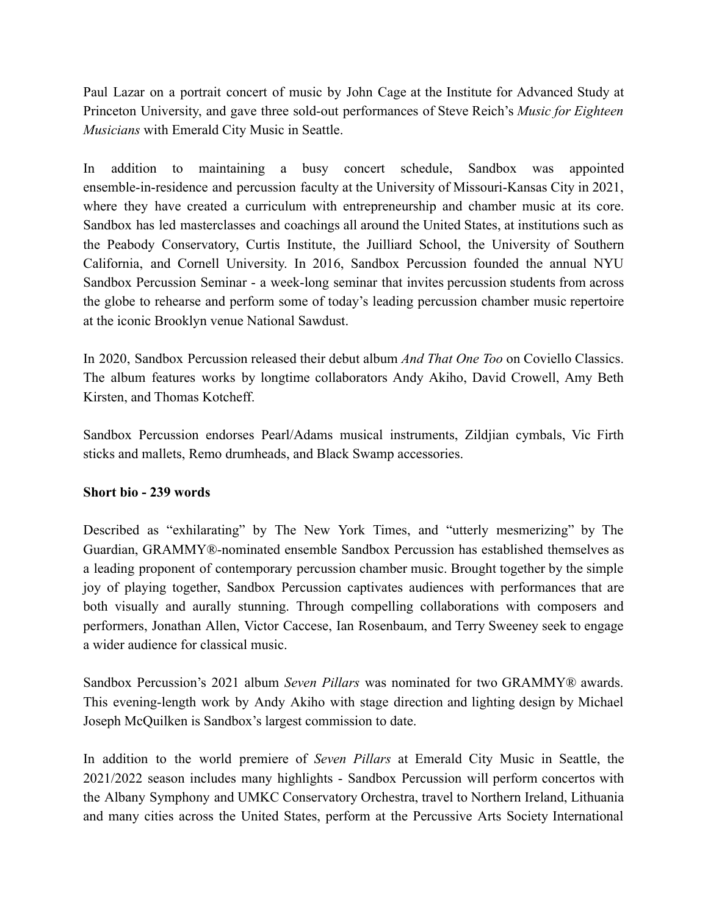Paul Lazar on a portrait concert of music by John Cage at the Institute for Advanced Study at Princeton University, and gave three sold-out performances of Steve Reich's *Music for Eighteen Musicians* with Emerald City Music in Seattle.

In addition to maintaining a busy concert schedule, Sandbox was appointed ensemble-in-residence and percussion faculty at the University of Missouri-Kansas City in 2021, where they have created a curriculum with entrepreneurship and chamber music at its core. Sandbox has led masterclasses and coachings all around the United States, at institutions such as the Peabody Conservatory, Curtis Institute, the Juilliard School, the University of Southern California, and Cornell University. In 2016, Sandbox Percussion founded the annual NYU Sandbox Percussion Seminar - a week-long seminar that invites percussion students from across the globe to rehearse and perform some of today's leading percussion chamber music repertoire at the iconic Brooklyn venue National Sawdust.

In 2020, Sandbox Percussion released their debut album *And That One Too* on Coviello Classics. The album features works by longtime collaborators Andy Akiho, David Crowell, Amy Beth Kirsten, and Thomas Kotcheff.

Sandbox Percussion endorses Pearl/Adams musical instruments, Zildjian cymbals, Vic Firth sticks and mallets, Remo drumheads, and Black Swamp accessories.

## **Short bio - 239 words**

Described as "exhilarating" by The New York Times, and "utterly mesmerizing" by The Guardian, GRAMMY®-nominated ensemble Sandbox Percussion has established themselves as a leading proponent of contemporary percussion chamber music. Brought together by the simple joy of playing together, Sandbox Percussion captivates audiences with performances that are both visually and aurally stunning. Through compelling collaborations with composers and performers, Jonathan Allen, Victor Caccese, Ian Rosenbaum, and Terry Sweeney seek to engage a wider audience for classical music.

Sandbox Percussion's 2021 album *Seven Pillars* was nominated for two GRAMMY® awards. This evening-length work by Andy Akiho with stage direction and lighting design by Michael Joseph McQuilken is Sandbox's largest commission to date.

In addition to the world premiere of *Seven Pillars* at Emerald City Music in Seattle, the 2021/2022 season includes many highlights - Sandbox Percussion will perform concertos with the Albany Symphony and UMKC Conservatory Orchestra, travel to Northern Ireland, Lithuania and many cities across the United States, perform at the Percussive Arts Society International